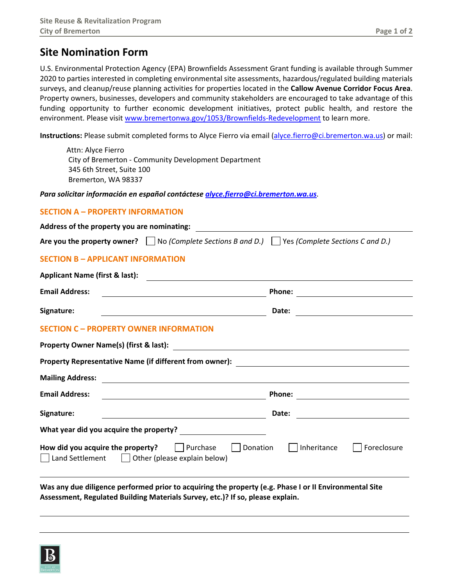## **Site Nomination Form**

U.S. Environmental Protection Agency (EPA) Brownfields Assessment Grant funding is available through Summer 2020 to parties interested in completing environmental site assessments, hazardous/regulated building materials surveys, and cleanup/reuse planning activities for properties located in the **Callow Avenue Corridor Focus Area**. Property owners, businesses, developers and community stakeholders are encouraged to take advantage of this funding opportunity to further economic development initiatives, protect public health, and restore the environment. Please visit [www.bremertonwa.gov/1053/Brownfields-Redevelopment](http://www.bremertonwa.gov/1053/Brownfields-Redevelopment) to learn more.

**Instructions:** Please submit completed forms to Alyce Fierro via email [\(alyce.fierro@ci.bremerton.wa.us\)](mailto:alyce.fierro@ci.bremerton.wa.us) or mail:

Attn: Alyce Fierro City of Bremerton - Community Development Department 345 6th Street, Suite 100 Bremerton, WA 98337

*Para solicitar información en español contáctese [alyce.fierro@ci.bremerton.wa.us](mailto:alyce.fierro@ci.bremerton.wa.us)*.

## **SECTION A – PROPERTY INFORMATION**

| Address of the property you are nominating:                                                                                                    |                                                   |
|------------------------------------------------------------------------------------------------------------------------------------------------|---------------------------------------------------|
| Are you the property owner? $\Box$ No (Complete Sections B and D.) $\Box$ Yes (Complete Sections C and D.)                                     |                                                   |
| <b>SECTION B - APPLICANT INFORMATION</b>                                                                                                       |                                                   |
| <b>Applicant Name (first &amp; last):</b>                                                                                                      |                                                   |
| <b>Email Address:</b>                                                                                                                          | <b>Phone:</b>                                     |
| Signature:                                                                                                                                     | Date:                                             |
| <b>SECTION C - PROPERTY OWNER INFORMATION</b>                                                                                                  |                                                   |
|                                                                                                                                                |                                                   |
|                                                                                                                                                |                                                   |
| <b>Mailing Address:</b>                                                                                                                        |                                                   |
| <b>Email Address:</b><br><u> 1980 - Johann Barn, mars ann an t-Amhain Aonaich an t-Aonaich an t-Aonaich an t-Aonaich an t-Aonaich an t-Aon</u> |                                                   |
| Signature:                                                                                                                                     | Date:<br><u> 1989 - Andrea State Barbara, pre</u> |
| What year did you acquire the property?                                                                                                        |                                                   |
| How did you acquire the property?<br>  Purchase<br>Donation<br>  Land Settlement   Other (please explain below)                                | Inheritance<br>Foreclosure                        |
| Was any due diligence performed prior to acquiring the property (e.g. Phase I or II Environmental Site                                         |                                                   |

**Assessment, Regulated Building Materials Survey, etc.)? If so, please explain.**